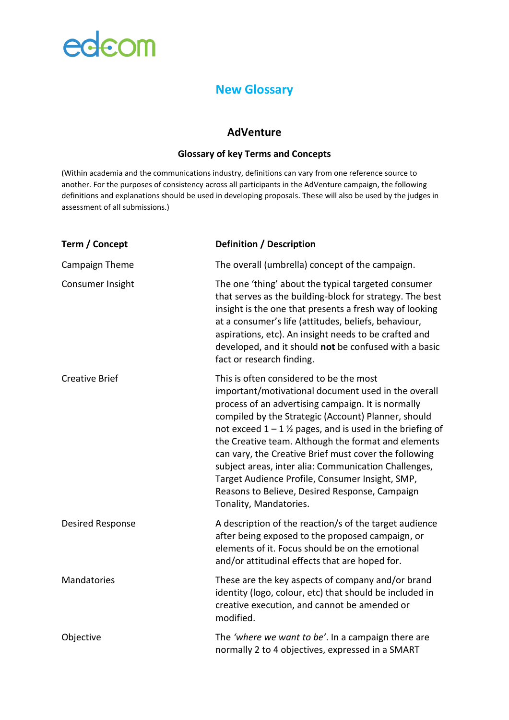# edcom

### **New Glossary**

### **AdVenture**

#### **Glossary of key Terms and Concepts**

(Within academia and the communications industry, definitions can vary from one reference source to another. For the purposes of consistency across all participants in the AdVenture campaign, the following definitions and explanations should be used in developing proposals. These will also be used by the judges in assessment of all submissions.)

| Term / Concept        | <b>Definition / Description</b>                                                                                                                                                                                                                                                                                                                                                                                                                                                                                                                                                  |
|-----------------------|----------------------------------------------------------------------------------------------------------------------------------------------------------------------------------------------------------------------------------------------------------------------------------------------------------------------------------------------------------------------------------------------------------------------------------------------------------------------------------------------------------------------------------------------------------------------------------|
| Campaign Theme        | The overall (umbrella) concept of the campaign.                                                                                                                                                                                                                                                                                                                                                                                                                                                                                                                                  |
| Consumer Insight      | The one 'thing' about the typical targeted consumer<br>that serves as the building-block for strategy. The best<br>insight is the one that presents a fresh way of looking<br>at a consumer's life (attitudes, beliefs, behaviour,<br>aspirations, etc). An insight needs to be crafted and<br>developed, and it should not be confused with a basic<br>fact or research finding.                                                                                                                                                                                                |
| <b>Creative Brief</b> | This is often considered to be the most<br>important/motivational document used in the overall<br>process of an advertising campaign. It is normally<br>compiled by the Strategic (Account) Planner, should<br>not exceed $1 - 1$ % pages, and is used in the briefing of<br>the Creative team. Although the format and elements<br>can vary, the Creative Brief must cover the following<br>subject areas, inter alia: Communication Challenges,<br>Target Audience Profile, Consumer Insight, SMP,<br>Reasons to Believe, Desired Response, Campaign<br>Tonality, Mandatories. |
| Desired Response      | A description of the reaction/s of the target audience<br>after being exposed to the proposed campaign, or<br>elements of it. Focus should be on the emotional<br>and/or attitudinal effects that are hoped for.                                                                                                                                                                                                                                                                                                                                                                 |
| Mandatories           | These are the key aspects of company and/or brand<br>identity (logo, colour, etc) that should be included in<br>creative execution, and cannot be amended or<br>modified.                                                                                                                                                                                                                                                                                                                                                                                                        |
| Objective             | The 'where we want to be'. In a campaign there are<br>normally 2 to 4 objectives, expressed in a SMART                                                                                                                                                                                                                                                                                                                                                                                                                                                                           |